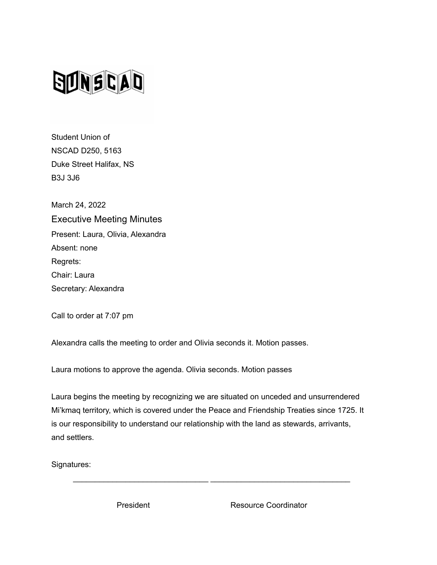

Student Union of NSCAD D250, 5163 Duke Street Halifax, NS B3J 3J6

March 24, 2022 Executive Meeting Minutes Present: Laura, Olivia, Alexandra Absent: none Regrets: Chair: Laura Secretary: Alexandra

Call to order at 7:07 pm

Alexandra calls the meeting to order and Olivia seconds it. Motion passes.

Laura motions to approve the agenda. Olivia seconds. Motion passes

Laura begins the meeting by recognizing we are situated on unceded and unsurrendered Mi'kmaq territory, which is covered under the Peace and Friendship Treaties since 1725. It is our responsibility to understand our relationship with the land as stewards, arrivants, and settlers.

\_\_\_\_\_\_\_\_\_\_\_\_\_\_\_\_\_\_\_\_\_\_\_\_\_\_\_\_\_\_\_ \_\_\_\_\_\_\_\_\_\_\_\_\_\_\_\_\_\_\_\_\_\_\_\_\_\_\_\_\_\_\_\_

Signatures:

President Resource Coordinator